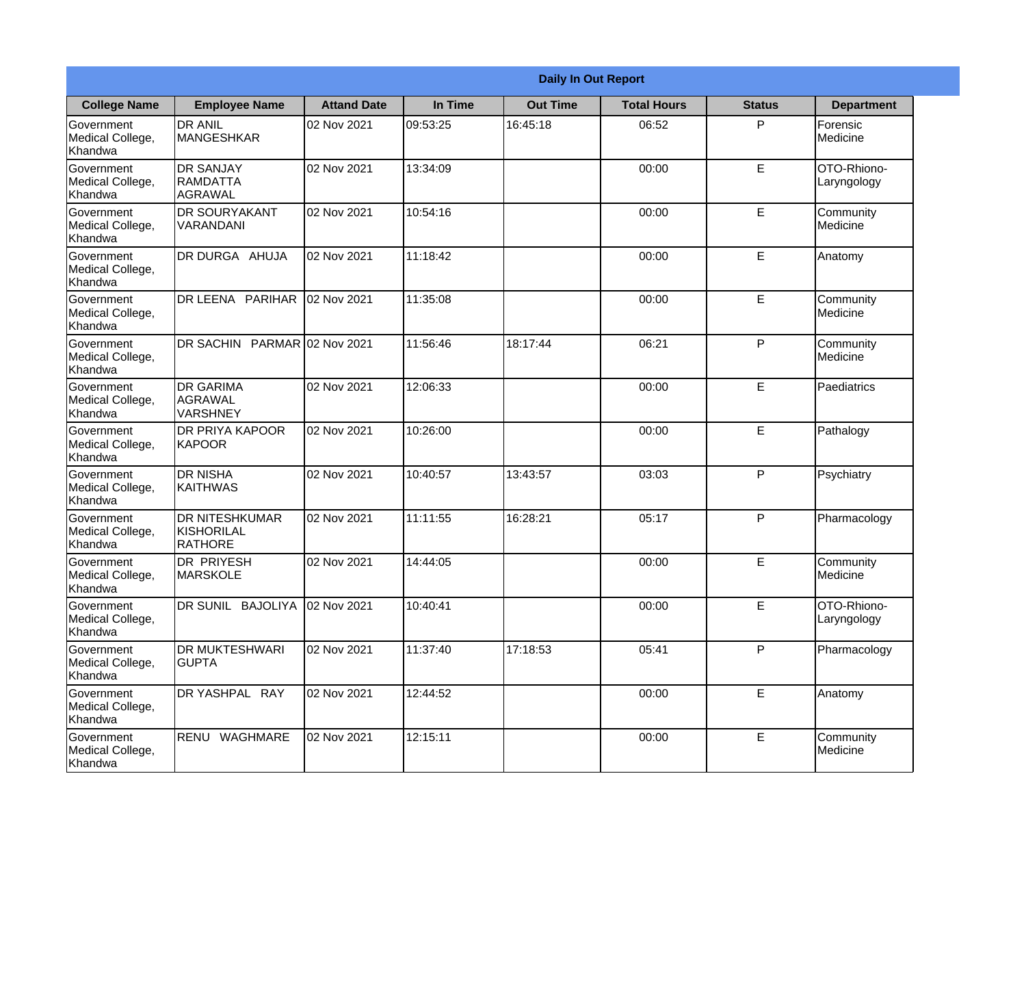|                                                  | <b>Daily In Out Report</b>                            |                    |          |                 |                    |               |                            |
|--------------------------------------------------|-------------------------------------------------------|--------------------|----------|-----------------|--------------------|---------------|----------------------------|
| <b>College Name</b>                              | <b>Employee Name</b>                                  | <b>Attand Date</b> | In Time  | <b>Out Time</b> | <b>Total Hours</b> | <b>Status</b> | <b>Department</b>          |
| Government<br>Medical College,<br>Khandwa        | <b>DR ANIL</b><br>MANGESHKAR                          | 02 Nov 2021        | 09:53:25 | 16:45:18        | 06:52              | P             | Forensic<br>Medicine       |
| Government<br>Medical College,<br>Khandwa        | <b>DR SANJAY</b><br>RAMDATTA<br><b>AGRAWAL</b>        | 02 Nov 2021        | 13:34:09 |                 | 00:00              | E             | OTO-Rhiono-<br>Laryngology |
| <b>Government</b><br>Medical College,<br>Khandwa | <b>DR SOURYAKANT</b><br>VARANDANI                     | 02 Nov 2021        | 10:54:16 |                 | 00:00              | E             | Community<br>Medicine      |
| <b>Government</b><br>Medical College,<br>Khandwa | DR DURGA AHUJA                                        | 02 Nov 2021        | 11:18:42 |                 | 00:00              | E             | Anatomy                    |
| Government<br>Medical College,<br>Khandwa        | DR LEENA PARIHAR                                      | 02 Nov 2021        | 11:35:08 |                 | 00:00              | E             | Community<br>Medicine      |
| Government<br>Medical College,<br>Khandwa        | DR SACHIN PARMAR 02 Nov 2021                          |                    | 11:56:46 | 18:17:44        | 06:21              | $\mathsf{P}$  | Community<br>Medicine      |
| Government<br>Medical College,<br>Khandwa        | <b>DR GARIMA</b><br><b>AGRAWAL</b><br><b>VARSHNEY</b> | 02 Nov 2021        | 12:06:33 |                 | 00:00              | E             | Paediatrics                |
| Government<br>Medical College,<br>Khandwa        | DR PRIYA KAPOOR<br>KAPOOR                             | 02 Nov 2021        | 10:26:00 |                 | 00:00              | E             | Pathalogy                  |
| Government<br>Medical College,<br>Khandwa        | <b>DR NISHA</b><br><b>KAITHWAS</b>                    | 02 Nov 2021        | 10:40:57 | 13:43:57        | 03:03              | P             | Psychiatry                 |
| Government<br>Medical College,<br>Khandwa        | <b>DR NITESHKUMAR</b><br>KISHORILAL<br>RATHORE        | 02 Nov 2021        | 11:11:55 | 16:28:21        | 05:17              | P             | Pharmacology               |
| Government<br>Medical College,<br>Khandwa        | <b>DR PRIYESH</b><br><b>MARSKOLE</b>                  | 02 Nov 2021        | 14:44:05 |                 | 00:00              | E             | Community<br>Medicine      |
| Government<br>Medical College,<br>Khandwa        | DR SUNIL BAJOLIYA                                     | 02 Nov 2021        | 10:40:41 |                 | 00:00              | E             | OTO-Rhiono-<br>Laryngology |
| Government<br>Medical College,<br>Khandwa        | <b>DR MUKTESHWARI</b><br><b>GUPTA</b>                 | 02 Nov 2021        | 11:37:40 | 17:18:53        | 05:41              | P             | Pharmacology               |
| Government<br>Medical College,<br>Khandwa        | DR YASHPAL RAY                                        | 02 Nov 2021        | 12:44:52 |                 | 00:00              | E             | Anatomy                    |
| Government<br>Medical College,<br>Khandwa        | RENU WAGHMARE                                         | 02 Nov 2021        | 12:15:11 |                 | 00:00              | E             | Community<br>Medicine      |